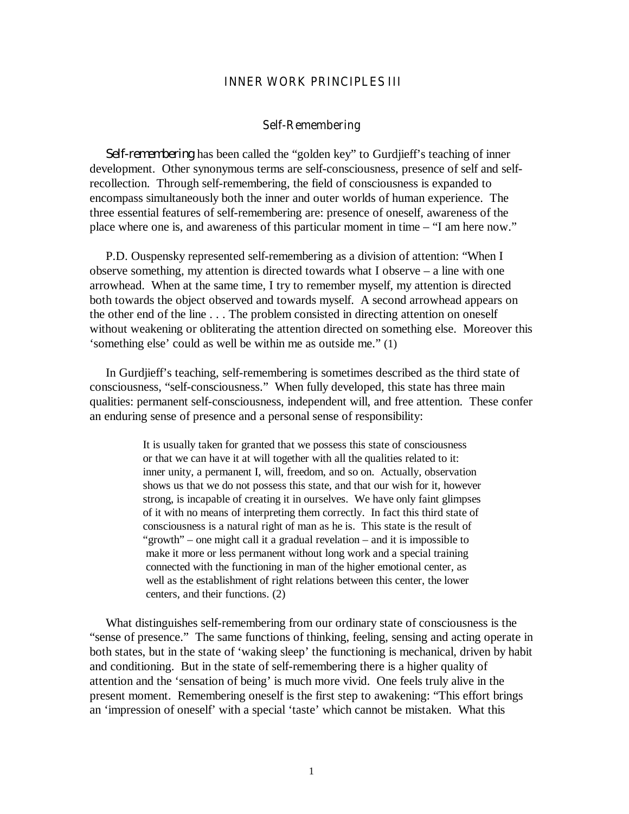# **INNER WORK PRINCIPLES III**

#### **Self-Remembering**

*Self-remembering* has been called the "golden key" to Gurdjieff's teaching of inner development. Other synonymous terms are self-consciousness, presence of self and selfrecollection. Through self-remembering, the field of consciousness is expanded to encompass simultaneously both the inner and outer worlds of human experience. The three essential features of self-remembering are: presence of oneself, awareness of the place where one is, and awareness of this particular moment in time – "I am here now."

P.D. Ouspensky represented self-remembering as a division of attention: "When I observe something, my attention is directed towards what I observe – a line with one arrowhead. When at the same time, I try to remember myself, my attention is directed both towards the object observed and towards myself. A second arrowhead appears on the other end of the line . . . The problem consisted in directing attention on oneself without weakening or obliterating the attention directed on something else. Moreover this 'something else' could as well be within me as outside me." (1)

In Gurdjieff's teaching, self-remembering is sometimes described as the third state of consciousness, "self-consciousness." When fully developed, this state has three main qualities: permanent self-consciousness, independent will, and free attention. These confer an enduring sense of presence and a personal sense of responsibility:

> It is usually taken for granted that we possess this state of consciousness or that we can have it at will together with all the qualities related to it: inner unity, a permanent I, will, freedom, and so on. Actually, observation shows us that we do not possess this state, and that our wish for it, however strong, is incapable of creating it in ourselves. We have only faint glimpses of it with no means of interpreting them correctly. In fact this third state of consciousness is a natural right of man as he is. This state is the result of "growth" – one might call it a gradual revelation – and it is impossible to make it more or less permanent without long work and a special training connected with the functioning in man of the higher emotional center, as well as the establishment of right relations between this center, the lower centers, and their functions. (2)

What distinguishes self-remembering from our ordinary state of consciousness is the "sense of presence." The same functions of thinking, feeling, sensing and acting operate in both states, but in the state of 'waking sleep' the functioning is mechanical, driven by habit and conditioning. But in the state of self-remembering there is a higher quality of attention and the 'sensation of being' is much more vivid. One feels truly alive in the present moment. Remembering oneself is the first step to awakening: "This effort brings an 'impression of oneself' with a special 'taste' which cannot be mistaken. What this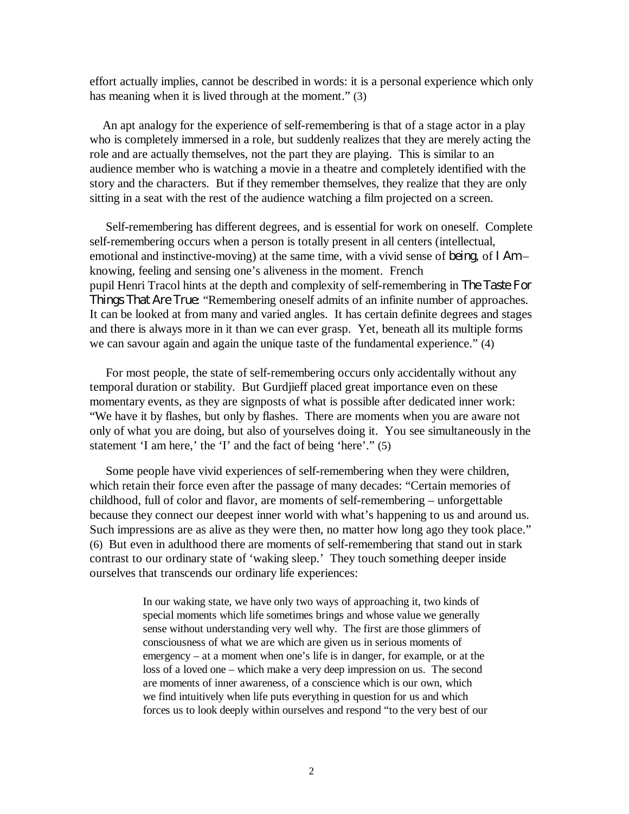effort actually implies, cannot be described in words: it is a personal experience which only has meaning when it is lived through at the moment." (3)

An apt analogy for the experience of self-remembering is that of a stage actor in a play who is completely immersed in a role, but suddenly realizes that they are merely acting the role and are actually themselves, not the part they are playing. This is similar to an audience member who is watching a movie in a theatre and completely identified with the story and the characters. But if they remember themselves, they realize that they are only sitting in a seat with the rest of the audience watching a film projected on a screen.

Self-remembering has different degrees, and is essential for work on oneself. Complete self-remembering occurs when a person is totally present in all centers (intellectual, emotional and instinctive-moving) at the same time, with a vivid sense of *being*, of *I Am* – knowing, feeling and sensing one's aliveness in the moment. French pupil Henri Tracol hints at the depth and complexity of self-remembering in *The Taste For Things That Are True*: "Remembering oneself admits of an infinite number of approaches. It can be looked at from many and varied angles. It has certain definite degrees and stages and there is always more in it than we can ever grasp. Yet, beneath all its multiple forms we can savour again and again the unique taste of the fundamental experience." (4)

For most people, the state of self-remembering occurs only accidentally without any temporal duration or stability. But Gurdjieff placed great importance even on these momentary events, as they are signposts of what is possible after dedicated inner work: "We have it by flashes, but only by flashes. There are moments when you are aware not only of what you are doing, but also of yourselves doing it. You see simultaneously in the statement 'I am here,' the 'I' and the fact of being 'here'." (5)

Some people have vivid experiences of self-remembering when they were children, which retain their force even after the passage of many decades: "Certain memories of childhood, full of color and flavor, are moments of self-remembering – unforgettable because they connect our deepest inner world with what's happening to us and around us. Such impressions are as alive as they were then, no matter how long ago they took place." (6) But even in adulthood there are moments of self-remembering that stand out in stark contrast to our ordinary state of 'waking sleep.' They touch something deeper inside ourselves that transcends our ordinary life experiences:

> In our waking state, we have only two ways of approaching it, two kinds of special moments which life sometimes brings and whose value we generally sense without understanding very well why. The first are those glimmers of consciousness of what we are which are given us in serious moments of emergency – at a moment when one's life is in danger, for example, or at the loss of a loved one – which make a very deep impression on us. The second are moments of inner awareness, of a conscience which is our own, which we find intuitively when life puts everything in question for us and which forces us to look deeply within ourselves and respond "to the very best of our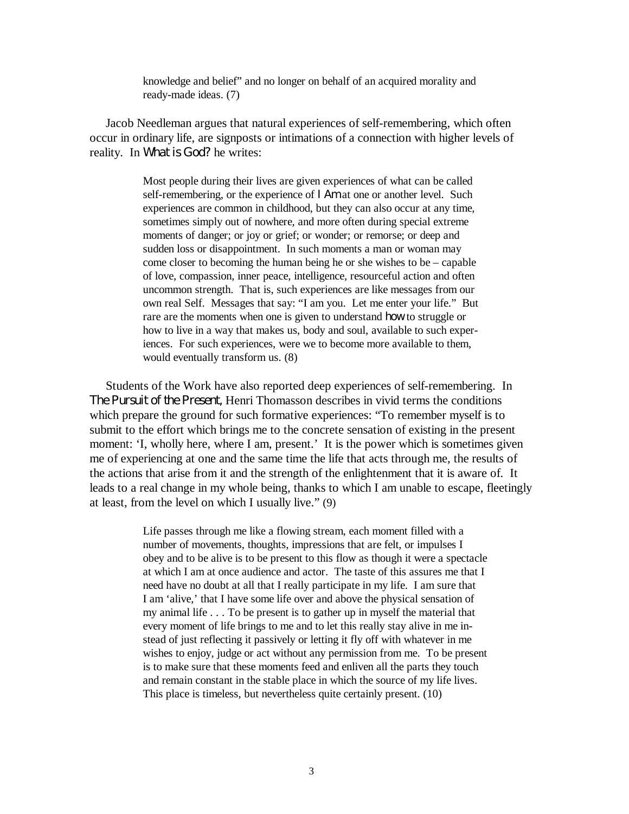knowledge and belief" and no longer on behalf of an acquired morality and ready-made ideas. (7)

Jacob Needleman argues that natural experiences of self-remembering, which often occur in ordinary life, are signposts or intimations of a connection with higher levels of reality. In *What is God?* he writes:

> Most people during their lives are given experiences of what can be called self-remembering, or the experience of *I Am* at one or another level. Such experiences are common in childhood, but they can also occur at any time, sometimes simply out of nowhere, and more often during special extreme moments of danger; or joy or grief; or wonder; or remorse; or deep and sudden loss or disappointment. In such moments a man or woman may come closer to becoming the human being he or she wishes to be – capable of love, compassion, inner peace, intelligence, resourceful action and often uncommon strength. That is, such experiences are like messages from our own real Self. Messages that say: "I am you. Let me enter your life." But rare are the moments when one is given to understand *how* to struggle or how to live in a way that makes us, body and soul, available to such experiences. For such experiences, were we to become more available to them, would eventually transform us. (8)

Students of the Work have also reported deep experiences of self-remembering. In *The Pursuit of the Present,* Henri Thomasson describes in vivid terms the conditions which prepare the ground for such formative experiences: "To remember myself is to submit to the effort which brings me to the concrete sensation of existing in the present moment: 'I, wholly here, where I am, present.' It is the power which is sometimes given me of experiencing at one and the same time the life that acts through me, the results of the actions that arise from it and the strength of the enlightenment that it is aware of. It leads to a real change in my whole being, thanks to which I am unable to escape, fleetingly at least, from the level on which I usually live." (9)

> Life passes through me like a flowing stream, each moment filled with a number of movements, thoughts, impressions that are felt, or impulses I obey and to be alive is to be present to this flow as though it were a spectacle at which I am at once audience and actor. The taste of this assures me that I need have no doubt at all that I really participate in my life. I am sure that I am 'alive,' that I have some life over and above the physical sensation of my animal life . . . To be present is to gather up in myself the material that every moment of life brings to me and to let this really stay alive in me instead of just reflecting it passively or letting it fly off with whatever in me wishes to enjoy, judge or act without any permission from me. To be present is to make sure that these moments feed and enliven all the parts they touch and remain constant in the stable place in which the source of my life lives. This place is timeless, but nevertheless quite certainly present. (10)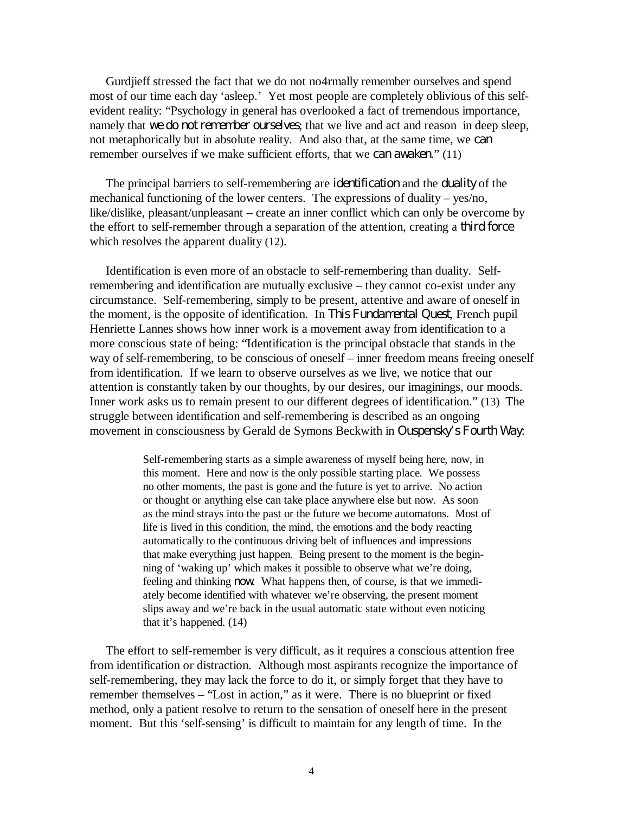Gurdjieff stressed the fact that we do not no4rmally remember ourselves and spend most of our time each day 'asleep.' Yet most people are completely oblivious of this selfevident reality: "Psychology in general has overlooked a fact of tremendous importance, namely that *we do not remember ourselves*; that we live and act and reason in deep sleep, not metaphorically but in absolute reality. And also that, at the same time, we *can* remember ourselves if we make sufficient efforts, that we *can awaken*." (11)

The principal barriers to self-remembering are *identification* and the *duality* of the mechanical functioning of the lower centers. The expressions of duality – yes/no, like/dislike, pleasant/unpleasant – create an inner conflict which can only be overcome by the effort to self-remember through a separation of the attention, creating a *third force* which resolves the apparent duality (12).

Identification is even more of an obstacle to self-remembering than duality. Selfremembering and identification are mutually exclusive – they cannot co-exist under any circumstance. Self-remembering, simply to be present, attentive and aware of oneself in the moment, is the opposite of identification. In *This Fundamental Quest*, French pupil Henriette Lannes shows how inner work is a movement away from identification to a more conscious state of being: "Identification is the principal obstacle that stands in the way of self-remembering, to be conscious of oneself – inner freedom means freeing oneself from identification. If we learn to observe ourselves as we live, we notice that our attention is constantly taken by our thoughts, by our desires, our imaginings, our moods. Inner work asks us to remain present to our different degrees of identification." (13) The struggle between identification and self-remembering is described as an ongoing movement in consciousness by Gerald de Symons Beckwith in *Ouspensky's Fourth Way*:

> Self-remembering starts as a simple awareness of myself being here, now, in this moment. Here and now is the only possible starting place. We possess no other moments, the past is gone and the future is yet to arrive. No action or thought or anything else can take place anywhere else but now. As soon as the mind strays into the past or the future we become automatons. Most of life is lived in this condition, the mind, the emotions and the body reacting automatically to the continuous driving belt of influences and impressions that make everything just happen. Being present to the moment is the beginning of 'waking up' which makes it possible to observe what we're doing, feeling and thinking *now*. What happens then, of course, is that we immediately become identified with whatever we're observing, the present moment slips away and we're back in the usual automatic state without even noticing that it's happened. (14)

The effort to self-remember is very difficult, as it requires a conscious attention free from identification or distraction. Although most aspirants recognize the importance of self-remembering, they may lack the force to do it, or simply forget that they have to remember themselves – "Lost in action," as it were. There is no blueprint or fixed method, only a patient resolve to return to the sensation of oneself here in the present moment. But this 'self-sensing' is difficult to maintain for any length of time. In the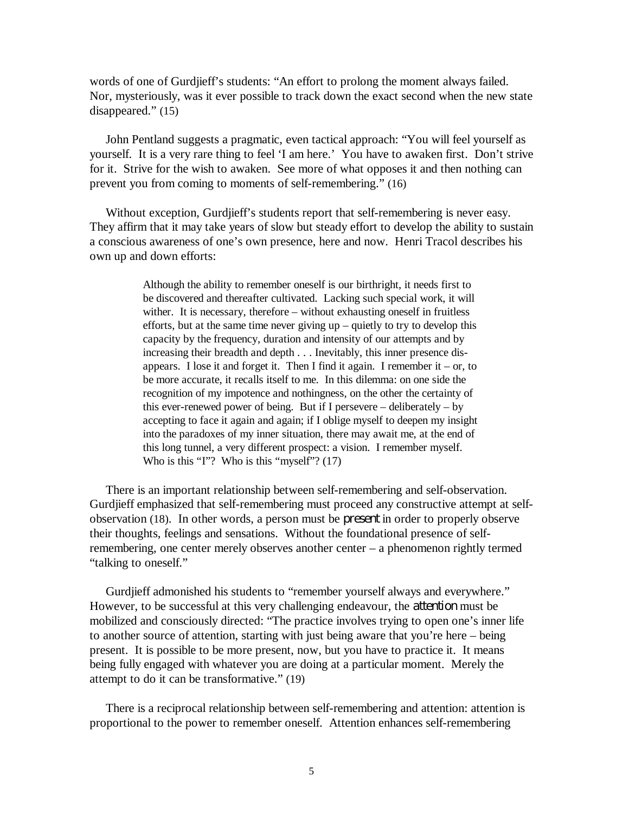words of one of Gurdjieff's students: "An effort to prolong the moment always failed. Nor, mysteriously, was it ever possible to track down the exact second when the new state disappeared." (15)

John Pentland suggests a pragmatic, even tactical approach: "You will feel yourself as yourself. It is a very rare thing to feel 'I am here.' You have to awaken first. Don't strive for it. Strive for the wish to awaken. See more of what opposes it and then nothing can prevent you from coming to moments of self-remembering." (16)

Without exception, Gurdjieff's students report that self-remembering is never easy. They affirm that it may take years of slow but steady effort to develop the ability to sustain a conscious awareness of one's own presence, here and now. Henri Tracol describes his own up and down efforts:

> Although the ability to remember oneself is our birthright, it needs first to be discovered and thereafter cultivated. Lacking such special work, it will wither. It is necessary, therefore – without exhausting oneself in fruitless efforts, but at the same time never giving up – quietly to try to develop this capacity by the frequency, duration and intensity of our attempts and by increasing their breadth and depth . . . Inevitably, this inner presence disappears. I lose it and forget it. Then I find it again. I remember it – or, to be more accurate, it recalls itself to me. In this dilemma: on one side the recognition of my impotence and nothingness, on the other the certainty of this ever-renewed power of being. But if I persevere – deliberately – by accepting to face it again and again; if I oblige myself to deepen my insight into the paradoxes of my inner situation, there may await me, at the end of this long tunnel, a very different prospect: a vision. I remember myself. Who is this "I"? Who is this "myself"? (17)

There is an important relationship between self-remembering and self-observation. Gurdjieff emphasized that self-remembering must proceed any constructive attempt at selfobservation (18). In other words, a person must be *present* in order to properly observe their thoughts, feelings and sensations. Without the foundational presence of selfremembering, one center merely observes another center – a phenomenon rightly termed "talking to oneself."

Gurdjieff admonished his students to "remember yourself always and everywhere." However, to be successful at this very challenging endeavour, the *attention* must be mobilized and consciously directed: "The practice involves trying to open one's inner life to another source of attention, starting with just being aware that you're here – being present. It is possible to be more present, now, but you have to practice it. It means being fully engaged with whatever you are doing at a particular moment. Merely the attempt to do it can be transformative." (19)

There is a reciprocal relationship between self-remembering and attention: attention is proportional to the power to remember oneself. Attention enhances self-remembering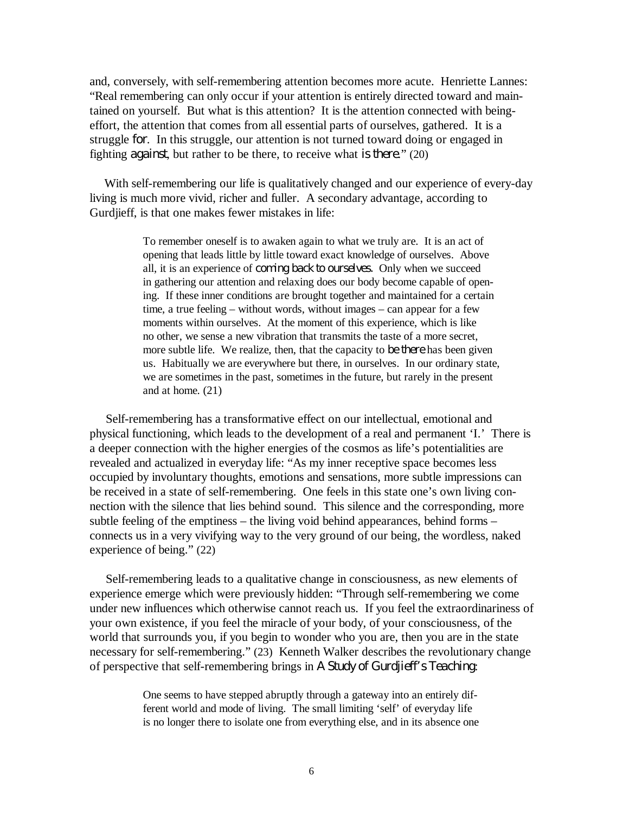and, conversely, with self-remembering attention becomes more acute. Henriette Lannes: "Real remembering can only occur if your attention is entirely directed toward and maintained on yourself. But what is this attention? It is the attention connected with beingeffort, the attention that comes from all essential parts of ourselves, gathered. It is a struggle *for*. In this struggle, our attention is not turned toward doing or engaged in fighting *against*, but rather to be there, to receive what *is there*." (20)

With self-remembering our life is qualitatively changed and our experience of every-day living is much more vivid, richer and fuller. A secondary advantage, according to Gurdjieff, is that one makes fewer mistakes in life:

> To remember oneself is to awaken again to what we truly are. It is an act of opening that leads little by little toward exact knowledge of ourselves. Above all, it is an experience of *coming back to ourselves.* Only when we succeed in gathering our attention and relaxing does our body become capable of opening. If these inner conditions are brought together and maintained for a certain time, a true feeling – without words, without images – can appear for a few moments within ourselves. At the moment of this experience, which is like no other, we sense a new vibration that transmits the taste of a more secret, more subtle life. We realize, then, that the capacity to *be there* has been given us. Habitually we are everywhere but there, in ourselves. In our ordinary state, we are sometimes in the past, sometimes in the future, but rarely in the present and at home. (21)

Self-remembering has a transformative effect on our intellectual, emotional and physical functioning, which leads to the development of a real and permanent 'I.' There is a deeper connection with the higher energies of the cosmos as life's potentialities are revealed and actualized in everyday life: "As my inner receptive space becomes less occupied by involuntary thoughts, emotions and sensations, more subtle impressions can be received in a state of self-remembering. One feels in this state one's own living connection with the silence that lies behind sound. This silence and the corresponding, more subtle feeling of the emptiness – the living void behind appearances, behind forms – connects us in a very vivifying way to the very ground of our being, the wordless, naked experience of being." (22)

Self-remembering leads to a qualitative change in consciousness, as new elements of experience emerge which were previously hidden: "Through self-remembering we come under new influences which otherwise cannot reach us. If you feel the extraordinariness of your own existence, if you feel the miracle of your body, of your consciousness, of the world that surrounds you, if you begin to wonder who you are, then you are in the state necessary for self-remembering." (23) Kenneth Walker describes the revolutionary change of perspective that self-remembering brings in *A Study of Gurdjieff's Teaching*:

> One seems to have stepped abruptly through a gateway into an entirely different world and mode of living. The small limiting 'self' of everyday life is no longer there to isolate one from everything else, and in its absence one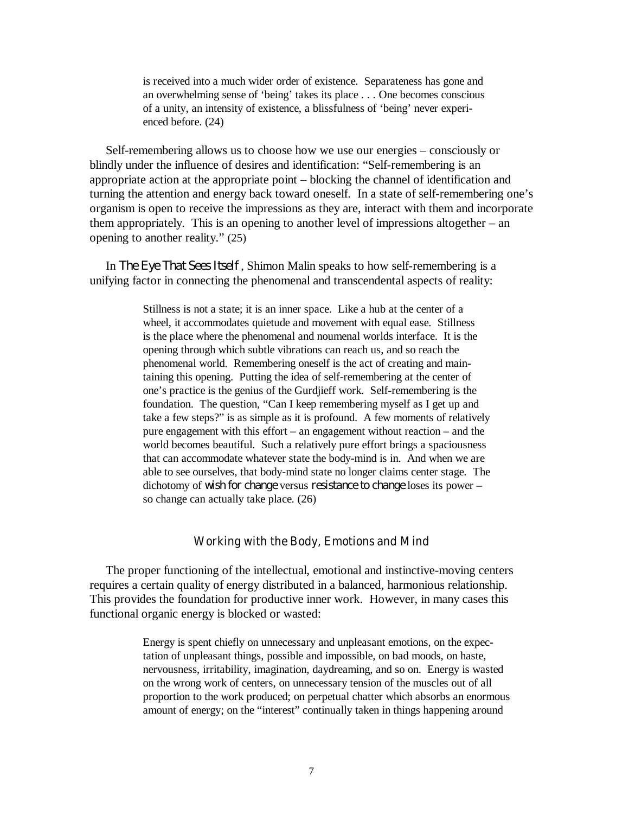is received into a much wider order of existence. Separateness has gone and an overwhelming sense of 'being' takes its place . . . One becomes conscious of a unity, an intensity of existence, a blissfulness of 'being' never experienced before. (24)

Self-remembering allows us to choose how we use our energies – consciously or blindly under the influence of desires and identification: "Self-remembering is an appropriate action at the appropriate point – blocking the channel of identification and turning the attention and energy back toward oneself. In a state of self-remembering one's organism is open to receive the impressions as they are, interact with them and incorporate them appropriately. This is an opening to another level of impressions altogether – an opening to another reality." (25)

In *The Eye That Sees Itself* , Shimon Malin speaks to how self-remembering is a unifying factor in connecting the phenomenal and transcendental aspects of reality:

> Stillness is not a state; it is an inner space. Like a hub at the center of a wheel, it accommodates quietude and movement with equal ease. Stillness is the place where the phenomenal and noumenal worlds interface. It is the opening through which subtle vibrations can reach us, and so reach the phenomenal world. Remembering oneself is the act of creating and maintaining this opening. Putting the idea of self-remembering at the center of one's practice is the genius of the Gurdjieff work. Self-remembering is the foundation. The question, "Can I keep remembering myself as I get up and take a few steps?" is as simple as it is profound. A few moments of relatively pure engagement with this effort – an engagement without reaction – and the world becomes beautiful. Such a relatively pure effort brings a spaciousness that can accommodate whatever state the body-mind is in. And when we are able to see ourselves, that body-mind state no longer claims center stage. The dichotomy of *wish for change* versus *resistance to change* loses its power – so change can actually take place. (26)

# **Working with the Body, Emotions and Mind**

The proper functioning of the intellectual, emotional and instinctive-moving centers requires a certain quality of energy distributed in a balanced, harmonious relationship. This provides the foundation for productive inner work. However, in many cases this functional organic energy is blocked or wasted:

> Energy is spent chiefly on unnecessary and unpleasant emotions, on the expectation of unpleasant things, possible and impossible, on bad moods, on haste, nervousness, irritability, imagination, daydreaming, and so on. Energy is wasted on the wrong work of centers, on unnecessary tension of the muscles out of all proportion to the work produced; on perpetual chatter which absorbs an enormous amount of energy; on the "interest" continually taken in things happening around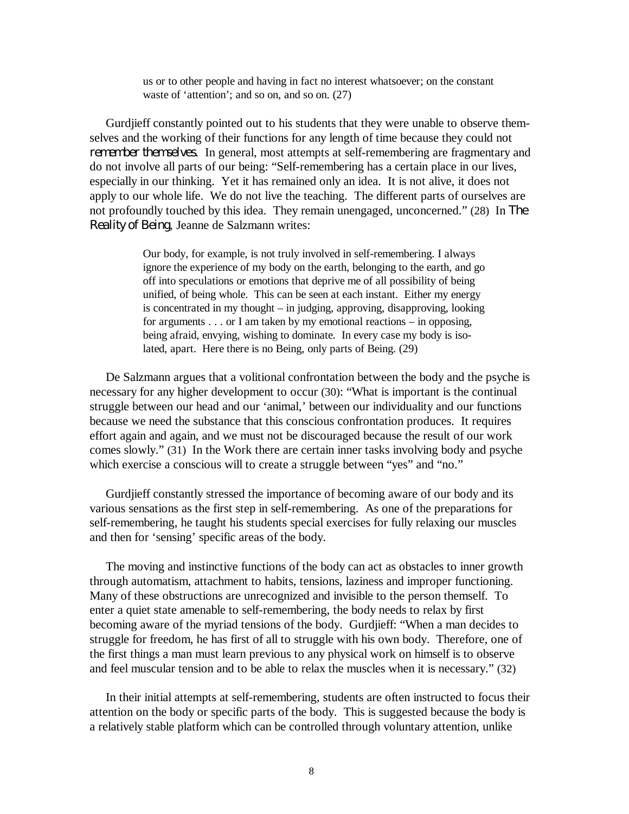us or to other people and having in fact no interest whatsoever; on the constant waste of 'attention'; and so on, and so on. (27)

Gurdjieff constantly pointed out to his students that they were unable to observe themselves and the working of their functions for any length of time because they could not *remember themselves*. In general, most attempts at self-remembering are fragmentary and do not involve all parts of our being: "Self-remembering has a certain place in our lives, especially in our thinking. Yet it has remained only an idea. It is not alive, it does not apply to our whole life. We do not live the teaching. The different parts of ourselves are not profoundly touched by this idea. They remain unengaged, unconcerned." (28) In *The Reality of Being*, Jeanne de Salzmann writes:

> Our body, for example, is not truly involved in self-remembering. I always ignore the experience of my body on the earth, belonging to the earth, and go off into speculations or emotions that deprive me of all possibility of being unified, of being whole. This can be seen at each instant. Either my energy is concentrated in my thought – in judging, approving, disapproving, looking for arguments . . . or I am taken by my emotional reactions – in opposing, being afraid, envying, wishing to dominate. In every case my body is isolated, apart. Here there is no Being, only parts of Being. (29)

De Salzmann argues that a volitional confrontation between the body and the psyche is necessary for any higher development to occur (30): "What is important is the continual struggle between our head and our 'animal,' between our individuality and our functions because we need the substance that this conscious confrontation produces. It requires effort again and again, and we must not be discouraged because the result of our work comes slowly." (31) In the Work there are certain inner tasks involving body and psyche which exercise a conscious will to create a struggle between "yes" and "no."

Gurdjieff constantly stressed the importance of becoming aware of our body and its various sensations as the first step in self-remembering. As one of the preparations for self-remembering, he taught his students special exercises for fully relaxing our muscles and then for 'sensing' specific areas of the body.

The moving and instinctive functions of the body can act as obstacles to inner growth through automatism, attachment to habits, tensions, laziness and improper functioning. Many of these obstructions are unrecognized and invisible to the person themself. To enter a quiet state amenable to self-remembering, the body needs to relax by first becoming aware of the myriad tensions of the body. Gurdjieff: "When a man decides to struggle for freedom, he has first of all to struggle with his own body. Therefore, one of the first things a man must learn previous to any physical work on himself is to observe and feel muscular tension and to be able to relax the muscles when it is necessary." (32)

In their initial attempts at self-remembering, students are often instructed to focus their attention on the body or specific parts of the body. This is suggested because the body is a relatively stable platform which can be controlled through voluntary attention, unlike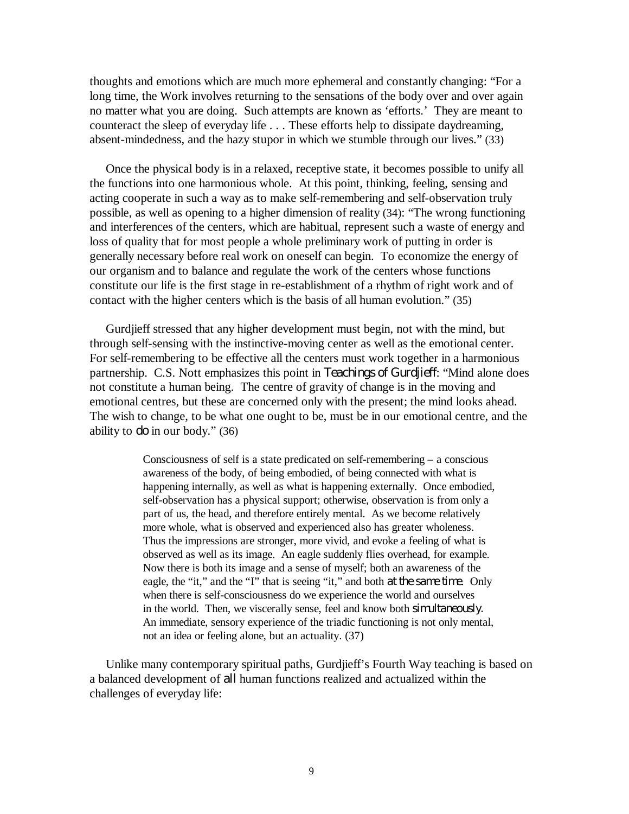thoughts and emotions which are much more ephemeral and constantly changing: "For a long time, the Work involves returning to the sensations of the body over and over again no matter what you are doing. Such attempts are known as 'efforts.' They are meant to counteract the sleep of everyday life . . . These efforts help to dissipate daydreaming, absent-mindedness, and the hazy stupor in which we stumble through our lives." (33)

Once the physical body is in a relaxed, receptive state, it becomes possible to unify all the functions into one harmonious whole. At this point, thinking, feeling, sensing and acting cooperate in such a way as to make self-remembering and self-observation truly possible, as well as opening to a higher dimension of reality (34): "The wrong functioning and interferences of the centers, which are habitual, represent such a waste of energy and loss of quality that for most people a whole preliminary work of putting in order is generally necessary before real work on oneself can begin. To economize the energy of our organism and to balance and regulate the work of the centers whose functions constitute our life is the first stage in re-establishment of a rhythm of right work and of contact with the higher centers which is the basis of all human evolution." (35)

Gurdjieff stressed that any higher development must begin, not with the mind, but through self-sensing with the instinctive-moving center as well as the emotional center. For self-remembering to be effective all the centers must work together in a harmonious partnership. C.S. Nott emphasizes this point in *Teachings of Gurdjieff*: "Mind alone does not constitute a human being. The centre of gravity of change is in the moving and emotional centres, but these are concerned only with the present; the mind looks ahead. The wish to change, to be what one ought to be, must be in our emotional centre, and the ability to *do* in our body." (36)

> Consciousness of self is a state predicated on self-remembering – a conscious awareness of the body, of being embodied, of being connected with what is happening internally, as well as what is happening externally. Once embodied, self-observation has a physical support; otherwise, observation is from only a part of us, the head, and therefore entirely mental. As we become relatively more whole, what is observed and experienced also has greater wholeness. Thus the impressions are stronger, more vivid, and evoke a feeling of what is observed as well as its image. An eagle suddenly flies overhead, for example. Now there is both its image and a sense of myself; both an awareness of the eagle, the "it," and the "I" that is seeing "it," and both *at the same time*. Only when there is self-consciousness do we experience the world and ourselves in the world. Then, we viscerally sense, feel and know both *simultaneously.* An immediate, sensory experience of the triadic functioning is not only mental, not an idea or feeling alone, but an actuality. (37)

Unlike many contemporary spiritual paths, Gurdjieff's Fourth Way teaching is based on a balanced development of *all* human functions realized and actualized within the challenges of everyday life: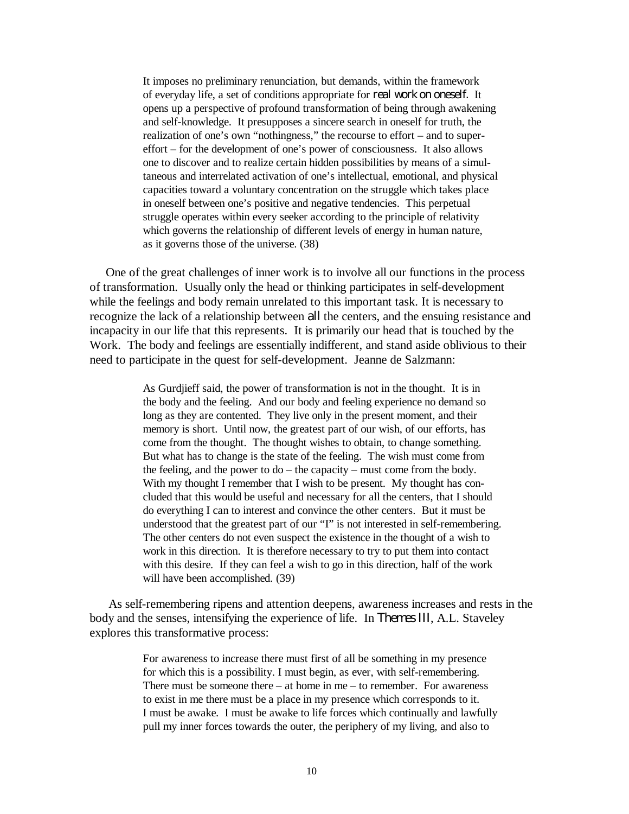It imposes no preliminary renunciation, but demands, within the framework of everyday life, a set of conditions appropriate for *real work on oneself.* It opens up a perspective of profound transformation of being through awakening and self-knowledge. It presupposes a sincere search in oneself for truth, the realization of one's own "nothingness," the recourse to effort – and to supereffort – for the development of one's power of consciousness. It also allows one to discover and to realize certain hidden possibilities by means of a simultaneous and interrelated activation of one's intellectual, emotional, and physical capacities toward a voluntary concentration on the struggle which takes place in oneself between one's positive and negative tendencies. This perpetual struggle operates within every seeker according to the principle of relativity which governs the relationship of different levels of energy in human nature, as it governs those of the universe. (38)

One of the great challenges of inner work is to involve all our functions in the process of transformation. Usually only the head or thinking participates in self-development while the feelings and body remain unrelated to this important task. It is necessary to recognize the lack of a relationship between *all* the centers, and the ensuing resistance and incapacity in our life that this represents. It is primarily our head that is touched by the Work. The body and feelings are essentially indifferent, and stand aside oblivious to their need to participate in the quest for self-development. Jeanne de Salzmann:

> As Gurdjieff said, the power of transformation is not in the thought. It is in the body and the feeling. And our body and feeling experience no demand so long as they are contented. They live only in the present moment, and their memory is short. Until now, the greatest part of our wish, of our efforts, has come from the thought. The thought wishes to obtain, to change something. But what has to change is the state of the feeling. The wish must come from the feeling, and the power to  $do$  – the capacity – must come from the body. With my thought I remember that I wish to be present. My thought has concluded that this would be useful and necessary for all the centers, that I should do everything I can to interest and convince the other centers. But it must be understood that the greatest part of our "I" is not interested in self-remembering. The other centers do not even suspect the existence in the thought of a wish to work in this direction. It is therefore necessary to try to put them into contact with this desire. If they can feel a wish to go in this direction, half of the work will have been accomplished. (39)

As self-remembering ripens and attention deepens, awareness increases and rests in the body and the senses, intensifying the experience of life. In *Themes III*, A.L. Staveley explores this transformative process:

> For awareness to increase there must first of all be something in my presence for which this is a possibility. I must begin, as ever, with self-remembering. There must be someone there – at home in me – to remember. For awareness to exist in me there must be a place in my presence which corresponds to it. I must be awake. I must be awake to life forces which continually and lawfully pull my inner forces towards the outer, the periphery of my living, and also to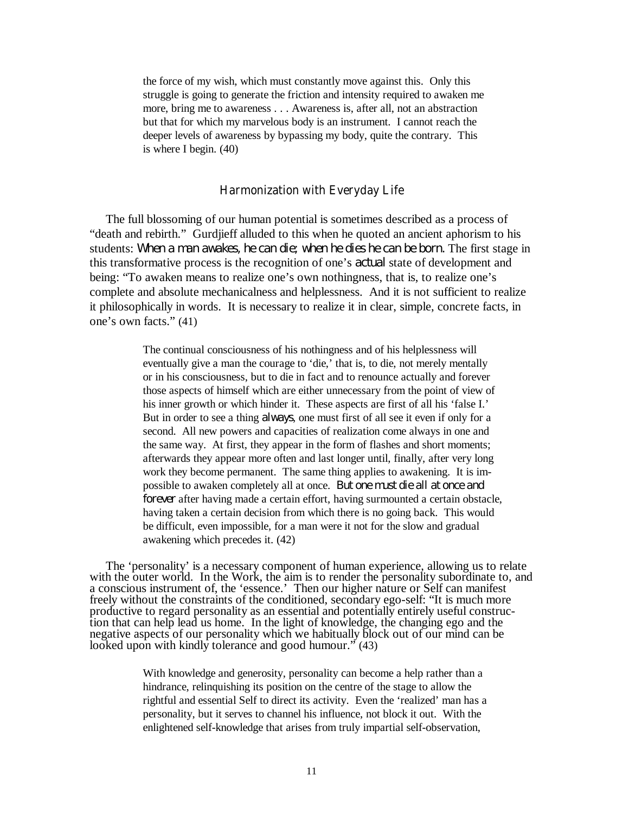the force of my wish, which must constantly move against this. Only this struggle is going to generate the friction and intensity required to awaken me more, bring me to awareness . . . Awareness is, after all, not an abstraction but that for which my marvelous body is an instrument. I cannot reach the deeper levels of awareness by bypassing my body, quite the contrary. This is where I begin. (40)

#### **Harmonization with Everyday Life**

The full blossoming of our human potential is sometimes described as a process of "death and rebirth." Gurdjieff alluded to this when he quoted an ancient aphorism to his students: *When a man awakes, he can die; when he dies he can be born.* The first stage in this transformative process is the recognition of one's *actual* state of development and being: "To awaken means to realize one's own nothingness, that is, to realize one's complete and absolute mechanicalness and helplessness. And it is not sufficient to realize it philosophically in words. It is necessary to realize it in clear, simple, concrete facts, in one's own facts." (41)

> The continual consciousness of his nothingness and of his helplessness will eventually give a man the courage to 'die,' that is, to die, not merely mentally or in his consciousness, but to die in fact and to renounce actually and forever those aspects of himself which are either unnecessary from the point of view of his inner growth or which hinder it. These aspects are first of all his 'false I.' But in order to see a thing *always*, one must first of all see it even if only for a second. All new powers and capacities of realization come always in one and the same way. At first, they appear in the form of flashes and short moments; afterwards they appear more often and last longer until, finally, after very long work they become permanent. The same thing applies to awakening. It is impossible to awaken completely all at once. *But one must die all at once and forever* after having made a certain effort, having surmounted a certain obstacle, having taken a certain decision from which there is no going back. This would be difficult, even impossible, for a man were it not for the slow and gradual awakening which precedes it. (42)

The 'personality' is a necessary component of human experience, allowing us to relate with the outer world. In the Work, the aim is to render the personality subordinate to, and a conscious instrument of, the 'essence.' Then our higher nature or Self can manifest freely without the constraints of the conditioned, secondary ego-self: "It is much more productive to regard personality as an essential and potentially entirely useful construction that can help lead us home. In the light of knowledge, the changing ego and the negative aspects of our personality which we habitually block out of our mind can be looked upon with kindly tolerance and good humour." (43)

> With knowledge and generosity, personality can become a help rather than a hindrance, relinquishing its position on the centre of the stage to allow the rightful and essential Self to direct its activity. Even the 'realized' man has a personality, but it serves to channel his influence, not block it out. With the enlightened self-knowledge that arises from truly impartial self-observation,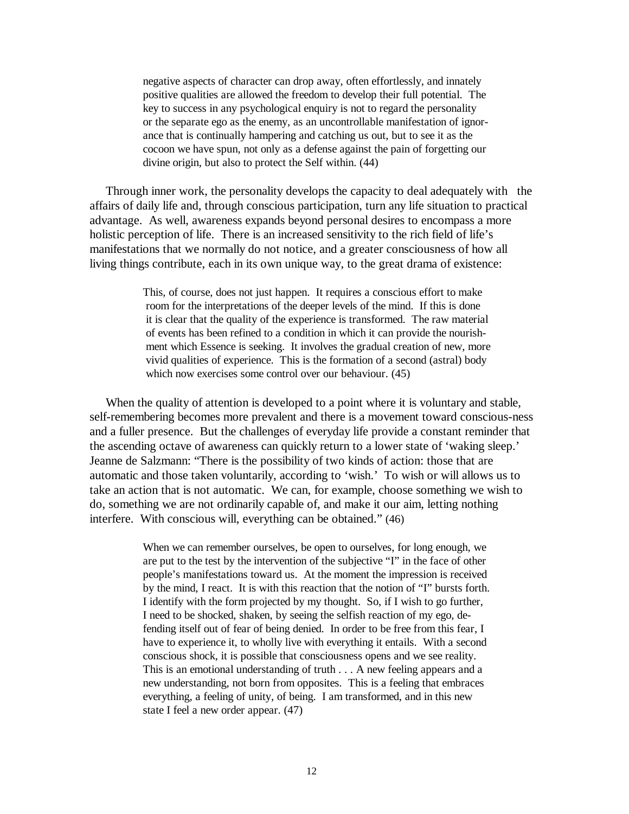negative aspects of character can drop away, often effortlessly, and innately positive qualities are allowed the freedom to develop their full potential. The key to success in any psychological enquiry is not to regard the personality or the separate ego as the enemy, as an uncontrollable manifestation of ignorance that is continually hampering and catching us out, but to see it as the cocoon we have spun, not only as a defense against the pain of forgetting our divine origin, but also to protect the Self within. (44)

Through inner work, the personality develops the capacity to deal adequately with the affairs of daily life and, through conscious participation, turn any life situation to practical advantage. As well, awareness expands beyond personal desires to encompass a more holistic perception of life. There is an increased sensitivity to the rich field of life's manifestations that we normally do not notice, and a greater consciousness of how all living things contribute, each in its own unique way, to the great drama of existence:

> This, of course, does not just happen. It requires a conscious effort to make room for the interpretations of the deeper levels of the mind. If this is done it is clear that the quality of the experience is transformed. The raw material of events has been refined to a condition in which it can provide the nourishment which Essence is seeking. It involves the gradual creation of new, more vivid qualities of experience. This is the formation of a second (astral) body which now exercises some control over our behaviour.  $(45)$

When the quality of attention is developed to a point where it is voluntary and stable, self-remembering becomes more prevalent and there is a movement toward conscious-ness and a fuller presence. But the challenges of everyday life provide a constant reminder that the ascending octave of awareness can quickly return to a lower state of 'waking sleep.' Jeanne de Salzmann: "There is the possibility of two kinds of action: those that are automatic and those taken voluntarily, according to 'wish.' To wish or will allows us to take an action that is not automatic. We can, for example, choose something we wish to do, something we are not ordinarily capable of, and make it our aim, letting nothing interfere. With conscious will, everything can be obtained." (46)

> When we can remember ourselves, be open to ourselves, for long enough, we are put to the test by the intervention of the subjective "I" in the face of other people's manifestations toward us. At the moment the impression is received by the mind, I react. It is with this reaction that the notion of "I" bursts forth. I identify with the form projected by my thought. So, if I wish to go further, I need to be shocked, shaken, by seeing the selfish reaction of my ego, defending itself out of fear of being denied. In order to be free from this fear, I have to experience it, to wholly live with everything it entails. With a second conscious shock, it is possible that consciousness opens and we see reality. This is an emotional understanding of truth . . . A new feeling appears and a new understanding, not born from opposites. This is a feeling that embraces everything, a feeling of unity, of being. I am transformed, and in this new state I feel a new order appear. (47)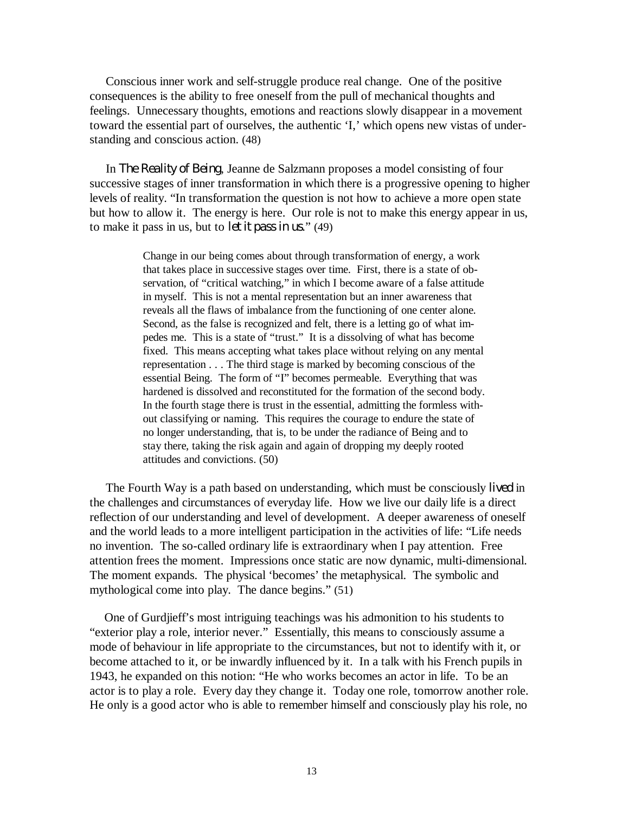Conscious inner work and self-struggle produce real change. One of the positive consequences is the ability to free oneself from the pull of mechanical thoughts and feelings. Unnecessary thoughts, emotions and reactions slowly disappear in a movement toward the essential part of ourselves, the authentic 'I,' which opens new vistas of understanding and conscious action. (48)

In *The Reality of Being*, Jeanne de Salzmann proposes a model consisting of four successive stages of inner transformation in which there is a progressive opening to higher levels of reality. "In transformation the question is not how to achieve a more open state but how to allow it. The energy is here. Our role is not to make this energy appear in us, to make it pass in us, but to *let it pass in us*." (49)

> Change in our being comes about through transformation of energy, a work that takes place in successive stages over time. First, there is a state of observation, of "critical watching," in which I become aware of a false attitude in myself. This is not a mental representation but an inner awareness that reveals all the flaws of imbalance from the functioning of one center alone. Second, as the false is recognized and felt, there is a letting go of what impedes me. This is a state of "trust." It is a dissolving of what has become fixed. This means accepting what takes place without relying on any mental representation . . . The third stage is marked by becoming conscious of the essential Being. The form of "I" becomes permeable. Everything that was hardened is dissolved and reconstituted for the formation of the second body. In the fourth stage there is trust in the essential, admitting the formless without classifying or naming. This requires the courage to endure the state of no longer understanding, that is, to be under the radiance of Being and to stay there, taking the risk again and again of dropping my deeply rooted attitudes and convictions. (50)

The Fourth Way is a path based on understanding, which must be consciously *lived* in the challenges and circumstances of everyday life. How we live our daily life is a direct reflection of our understanding and level of development. A deeper awareness of oneself and the world leads to a more intelligent participation in the activities of life: "Life needs no invention. The so-called ordinary life is extraordinary when I pay attention. Free attention frees the moment. Impressions once static are now dynamic, multi-dimensional. The moment expands. The physical 'becomes' the metaphysical. The symbolic and mythological come into play. The dance begins." (51)

One of Gurdjieff's most intriguing teachings was his admonition to his students to "exterior play a role, interior never." Essentially, this means to consciously assume a mode of behaviour in life appropriate to the circumstances, but not to identify with it, or become attached to it, or be inwardly influenced by it. In a talk with his French pupils in 1943, he expanded on this notion: "He who works becomes an actor in life. To be an actor is to play a role. Every day they change it. Today one role, tomorrow another role. He only is a good actor who is able to remember himself and consciously play his role, no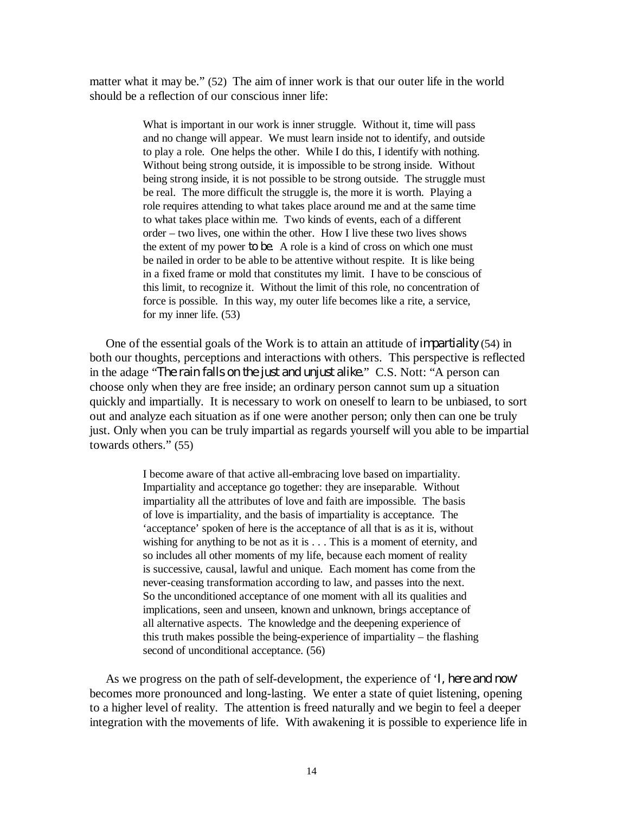matter what it may be." (52) The aim of inner work is that our outer life in the world should be a reflection of our conscious inner life:

> What is important in our work is inner struggle. Without it, time will pass and no change will appear. We must learn inside not to identify, and outside to play a role. One helps the other. While I do this, I identify with nothing. Without being strong outside, it is impossible to be strong inside. Without being strong inside, it is not possible to be strong outside. The struggle must be real. The more difficult the struggle is, the more it is worth. Playing a role requires attending to what takes place around me and at the same time to what takes place within me. Two kinds of events, each of a different order – two lives, one within the other. How I live these two lives shows the extent of my power *to be*. A role is a kind of cross on which one must be nailed in order to be able to be attentive without respite. It is like being in a fixed frame or mold that constitutes my limit. I have to be conscious of this limit, to recognize it. Without the limit of this role, no concentration of force is possible. In this way, my outer life becomes like a rite, a service, for my inner life. (53)

One of the essential goals of the Work is to attain an attitude of *impartiality* (54) in both our thoughts, perceptions and interactions with others. This perspective is reflected in the adage "*The rain falls on the just and unjust alike.*" C.S. Nott: "A person can choose only when they are free inside; an ordinary person cannot sum up a situation quickly and impartially. It is necessary to work on oneself to learn to be unbiased, to sort out and analyze each situation as if one were another person; only then can one be truly just. Only when you can be truly impartial as regards yourself will you able to be impartial towards others." (55)

> I become aware of that active all-embracing love based on impartiality. Impartiality and acceptance go together: they are inseparable. Without impartiality all the attributes of love and faith are impossible. The basis of love is impartiality, and the basis of impartiality is acceptance. The 'acceptance' spoken of here is the acceptance of all that is as it is, without wishing for anything to be not as it is . . . This is a moment of eternity, and so includes all other moments of my life, because each moment of reality is successive, causal, lawful and unique. Each moment has come from the never-ceasing transformation according to law, and passes into the next. So the unconditioned acceptance of one moment with all its qualities and implications, seen and unseen, known and unknown, brings acceptance of all alternative aspects. The knowledge and the deepening experience of this truth makes possible the being-experience of impartiality – the flashing second of unconditional acceptance. (56)

As we progress on the path of self-development, the experience of '*I, here and now*' becomes more pronounced and long-lasting. We enter a state of quiet listening, opening to a higher level of reality. The attention is freed naturally and we begin to feel a deeper integration with the movements of life. With awakening it is possible to experience life in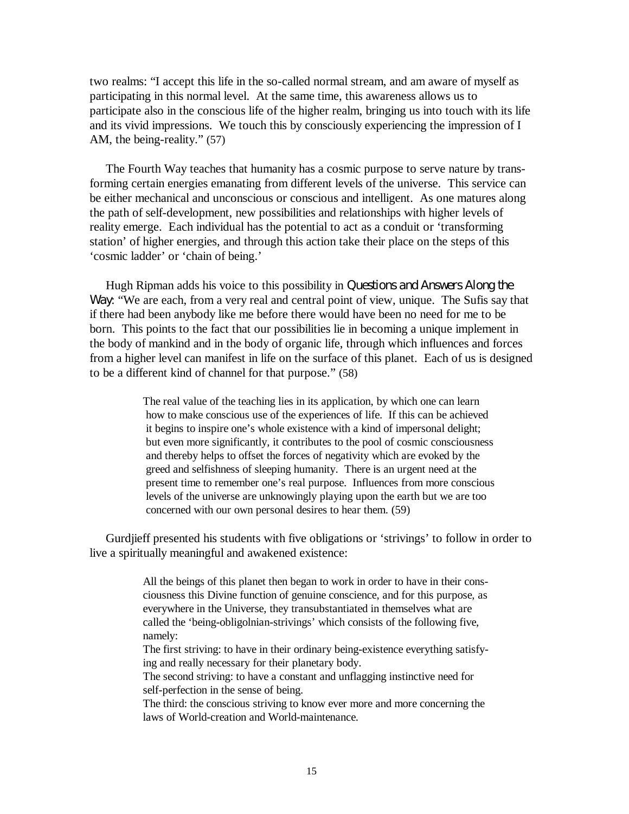two realms: "I accept this life in the so-called normal stream, and am aware of myself as participating in this normal level. At the same time, this awareness allows us to participate also in the conscious life of the higher realm, bringing us into touch with its life and its vivid impressions. We touch this by consciously experiencing the impression of I AM, the being-reality." (57)

The Fourth Way teaches that humanity has a cosmic purpose to serve nature by transforming certain energies emanating from different levels of the universe. This service can be either mechanical and unconscious or conscious and intelligent. As one matures along the path of self-development, new possibilities and relationships with higher levels of reality emerge. Each individual has the potential to act as a conduit or 'transforming station' of higher energies, and through this action take their place on the steps of this 'cosmic ladder' or 'chain of being.'

Hugh Ripman adds his voice to this possibility in *Questions and Answers Along the Way*: "We are each, from a very real and central point of view, unique. The Sufis say that if there had been anybody like me before there would have been no need for me to be born. This points to the fact that our possibilities lie in becoming a unique implement in the body of mankind and in the body of organic life, through which influences and forces from a higher level can manifest in life on the surface of this planet. Each of us is designed to be a different kind of channel for that purpose." (58)

> The real value of the teaching lies in its application, by which one can learn how to make conscious use of the experiences of life. If this can be achieved it begins to inspire one's whole existence with a kind of impersonal delight; but even more significantly, it contributes to the pool of cosmic consciousness and thereby helps to offset the forces of negativity which are evoked by the greed and selfishness of sleeping humanity. There is an urgent need at the present time to remember one's real purpose. Influences from more conscious levels of the universe are unknowingly playing upon the earth but we are too concerned with our own personal desires to hear them. (59)

Gurdjieff presented his students with five obligations or 'strivings' to follow in order to live a spiritually meaningful and awakened existence:

> All the beings of this planet then began to work in order to have in their consciousness this Divine function of genuine conscience, and for this purpose, as everywhere in the Universe, they transubstantiated in themselves what are called the 'being-obligolnian-strivings' which consists of the following five, namely:

> The first striving: to have in their ordinary being-existence everything satisfying and really necessary for their planetary body.

The second striving: to have a constant and unflagging instinctive need for self-perfection in the sense of being.

The third: the conscious striving to know ever more and more concerning the laws of World-creation and World-maintenance.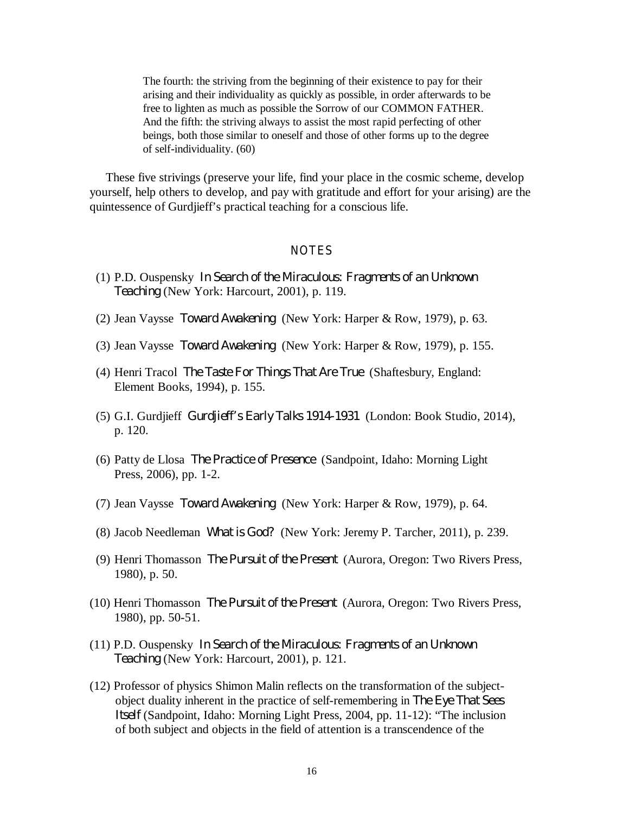The fourth: the striving from the beginning of their existence to pay for their arising and their individuality as quickly as possible, in order afterwards to be free to lighten as much as possible the Sorrow of our COMMON FATHER. And the fifth: the striving always to assist the most rapid perfecting of other beings, both those similar to oneself and those of other forms up to the degree of self-individuality. (60)

These five strivings (preserve your life, find your place in the cosmic scheme, develop yourself, help others to develop, and pay with gratitude and effort for your arising) are the quintessence of Gurdjieff's practical teaching for a conscious life.

# **NOTES**

- (1) P.D. Ouspensky *In Search of the Miraculous: Fragments of an Unknown Teaching* (New York: Harcourt, 2001), p. 119.
- (2) Jean Vaysse *Toward Awakening* (New York: Harper & Row, 1979), p. 63.
- (3) Jean Vaysse *Toward Awakening* (New York: Harper & Row, 1979), p. 155.
- (4) Henri Tracol *The Taste For Things That Are True* (Shaftesbury, England: Element Books, 1994), p. 155.
- (5) G.I. Gurdjieff *Gurdjieff's Early Talks 1914-1931* (London: Book Studio, 2014), p. 120.
- (6) Patty de Llosa *The Practice of Presence* (Sandpoint, Idaho: Morning Light Press, 2006), pp. 1-2.
- (7) Jean Vaysse *Toward Awakening* (New York: Harper & Row, 1979), p. 64.
- (8) Jacob Needleman *What is God?* (New York: Jeremy P. Tarcher, 2011), p. 239.
- (9) Henri Thomasson *The Pursuit of the Present* (Aurora, Oregon: Two Rivers Press, 1980), p. 50.
- (10) Henri Thomasson *The Pursuit of the Present* (Aurora, Oregon: Two Rivers Press, 1980), pp. 50-51.
- (11) P.D. Ouspensky *In Search of the Miraculous: Fragments of an Unknown Teaching* (New York: Harcourt, 2001), p. 121.
- (12) Professor of physics Shimon Malin reflects on the transformation of the subjectobject duality inherent in the practice of self-remembering in *The Eye That Sees Itself* (Sandpoint, Idaho: Morning Light Press, 2004, pp. 11-12): "The inclusion of both subject and objects in the field of attention is a transcendence of the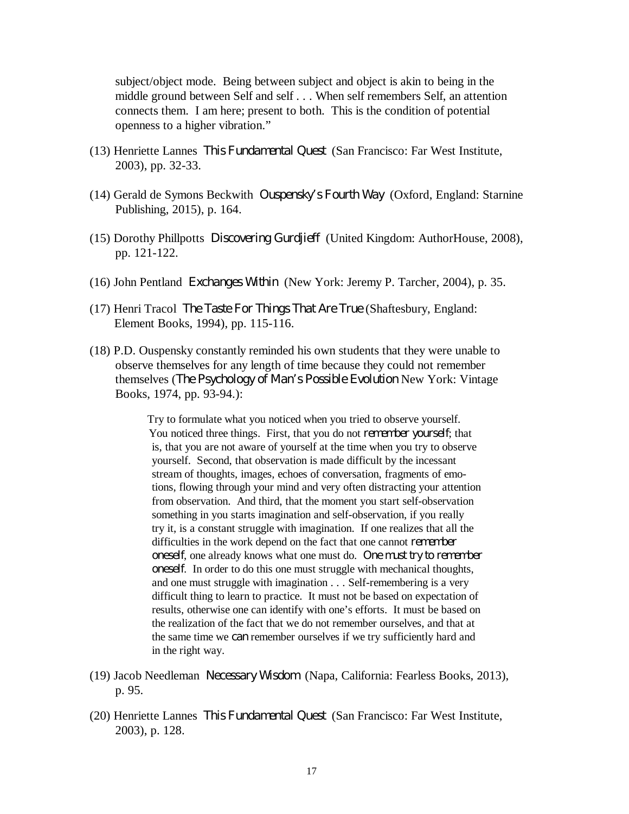subject/object mode. Being between subject and object is akin to being in the middle ground between Self and self . . . When self remembers Self, an attention connects them. I am here; present to both. This is the condition of potential openness to a higher vibration."

- (13) Henriette Lannes *This Fundamental Quest* (San Francisco: Far West Institute, 2003), pp. 32-33.
- (14) Gerald de Symons Beckwith *Ouspensky's Fourth Way* (Oxford, England: Starnine Publishing, 2015), p. 164.
- (15) Dorothy Phillpotts *Discovering Gurdjieff* (United Kingdom: AuthorHouse, 2008), pp. 121-122.
- (16) John Pentland *Exchanges Within* (New York: Jeremy P. Tarcher, 2004), p. 35.
- (17) Henri Tracol *The Taste For Things That Are True* (Shaftesbury, England: Element Books, 1994), pp. 115-116.
- (18) P.D. Ouspensky constantly reminded his own students that they were unable to observe themselves for any length of time because they could not remember themselves (*The Psychology of Man's Possible Evolution* New York: Vintage Books, 1974, pp. 93-94.):

Try to formulate what you noticed when you tried to observe yourself. You noticed three things. First, that you do not *remember yourself*; that is, that you are not aware of yourself at the time when you try to observe yourself. Second, that observation is made difficult by the incessant stream of thoughts, images, echoes of conversation, fragments of emotions, flowing through your mind and very often distracting your attention from observation. And third, that the moment you start self-observation something in you starts imagination and self-observation, if you really try it, is a constant struggle with imagination. If one realizes that all the difficulties in the work depend on the fact that one cannot *remember oneself*, one already knows what one must do. *One must try to remember oneself*. In order to do this one must struggle with mechanical thoughts, and one must struggle with imagination . . . Self-remembering is a very difficult thing to learn to practice. It must not be based on expectation of results, otherwise one can identify with one's efforts. It must be based on the realization of the fact that we do not remember ourselves, and that at the same time we *can* remember ourselves if we try sufficiently hard and in the right way.

- (19) Jacob Needleman *Necessary Wisdom* (Napa, California: Fearless Books, 2013), p. 95.
- (20) Henriette Lannes *This Fundamental Quest* (San Francisco: Far West Institute, 2003), p. 128.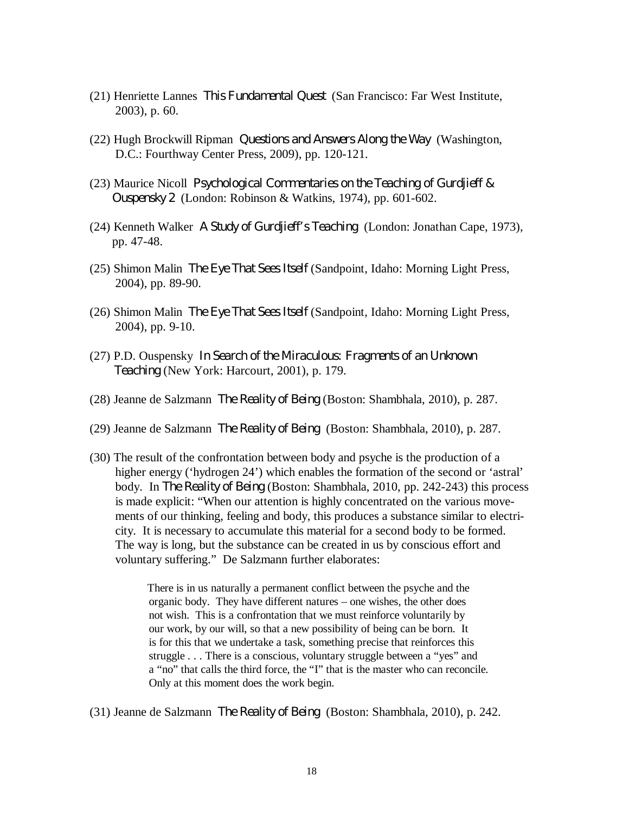- (21) Henriette Lannes *This Fundamental Quest* (San Francisco: Far West Institute, 2003), p. 60.
- (22) Hugh Brockwill Ripman *Questions and Answers Along the Way* (Washington, D.C.: Fourthway Center Press, 2009), pp. 120-121.
- (23) Maurice Nicoll *Psychological Commentaries on the Teaching of Gurdjieff & Ouspensky 2* (London: Robinson & Watkins, 1974), pp. 601-602.
- (24) Kenneth Walker *A Study of Gurdjieff's Teaching* (London: Jonathan Cape, 1973), pp. 47-48.
- (25) Shimon Malin *The Eye That Sees Itself* (Sandpoint, Idaho: Morning Light Press, 2004), pp. 89-90.
- (26) Shimon Malin *The Eye That Sees Itself* (Sandpoint, Idaho: Morning Light Press, 2004), pp. 9-10.
- (27) P.D. Ouspensky *In Search of the Miraculous: Fragments of an Unknown Teaching* (New York: Harcourt, 2001), p. 179.
- (28) Jeanne de Salzmann *The Reality of Being* (Boston: Shambhala, 2010), p. 287.
- (29) Jeanne de Salzmann *The Reality of Being* (Boston: Shambhala, 2010), p. 287.
- (30) The result of the confrontation between body and psyche is the production of a higher energy ('hydrogen 24') which enables the formation of the second or 'astral' body. In *The Reality of Being* (Boston: Shambhala, 2010, pp. 242-243) this process is made explicit: "When our attention is highly concentrated on the various movements of our thinking, feeling and body, this produces a substance similar to electricity. It is necessary to accumulate this material for a second body to be formed. The way is long, but the substance can be created in us by conscious effort and voluntary suffering." De Salzmann further elaborates:

There is in us naturally a permanent conflict between the psyche and the organic body. They have different natures – one wishes, the other does not wish. This is a confrontation that we must reinforce voluntarily by our work, by our will, so that a new possibility of being can be born. It is for this that we undertake a task, something precise that reinforces this struggle . . . There is a conscious, voluntary struggle between a "yes" and a "no" that calls the third force, the "I" that is the master who can reconcile. Only at this moment does the work begin.

(31) Jeanne de Salzmann *The Reality of Being* (Boston: Shambhala, 2010), p. 242.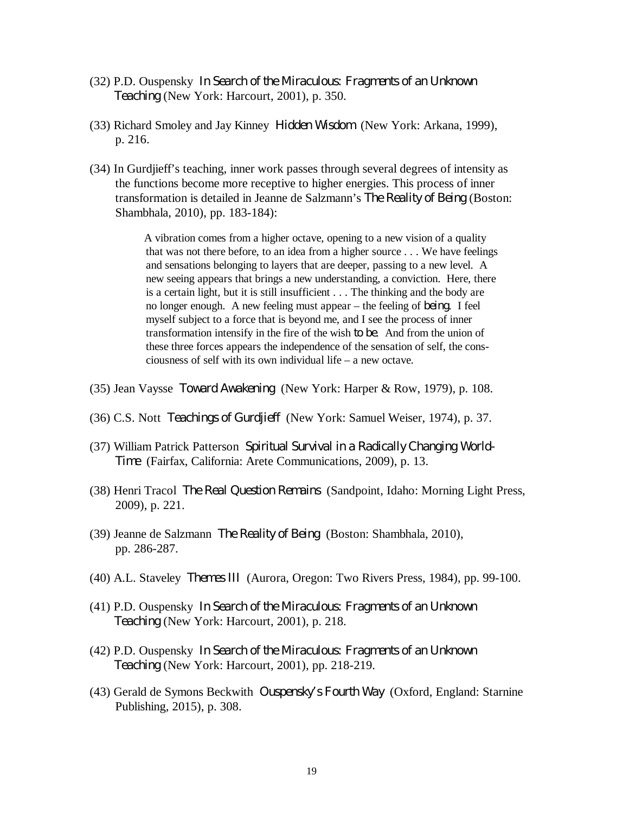- (32) P.D. Ouspensky *In Search of the Miraculous: Fragments of an Unknown Teaching* (New York: Harcourt, 2001), p. 350.
- (33) Richard Smoley and Jay Kinney *Hidden Wisdom* (New York: Arkana, 1999), p. 216.
- (34) In Gurdjieff's teaching, inner work passes through several degrees of intensity as the functions become more receptive to higher energies. This process of inner transformation is detailed in Jeanne de Salzmann's *The Reality of Being* (Boston: Shambhala, 2010), pp. 183-184):

A vibration comes from a higher octave, opening to a new vision of a quality that was not there before, to an idea from a higher source . . . We have feelings and sensations belonging to layers that are deeper, passing to a new level. A new seeing appears that brings a new understanding, a conviction. Here, there is a certain light, but it is still insufficient . . . The thinking and the body are no longer enough. A new feeling must appear – the feeling of *being*. I feel myself subject to a force that is beyond me, and I see the process of inner transformation intensify in the fire of the wish *to be*. And from the union of these three forces appears the independence of the sensation of self, the consciousness of self with its own individual life – a new octave.

- (35) Jean Vaysse *Toward Awakening* (New York: Harper & Row, 1979), p. 108.
- (36) C.S. Nott *Teachings of Gurdjieff* (New York: Samuel Weiser, 1974), p. 37.
- (37) William Patrick Patterson *Spiritual Survival in a Radically Changing World-Time* (Fairfax, California: Arete Communications, 2009), p. 13.
- (38) Henri Tracol *The Real Question Remains* (Sandpoint, Idaho: Morning Light Press, 2009), p. 221.
- (39) Jeanne de Salzmann *The Reality of Being* (Boston: Shambhala, 2010), pp. 286-287.
- (40) A.L. Staveley *Themes III* (Aurora, Oregon: Two Rivers Press, 1984), pp. 99-100.
- (41) P.D. Ouspensky *In Search of the Miraculous: Fragments of an Unknown Teaching* (New York: Harcourt, 2001), p. 218.
- (42) P.D. Ouspensky *In Search of the Miraculous: Fragments of an Unknown Teaching* (New York: Harcourt, 2001), pp. 218-219.
- (43) Gerald de Symons Beckwith *Ouspensky's Fourth Way* (Oxford, England: Starnine Publishing, 2015), p. 308.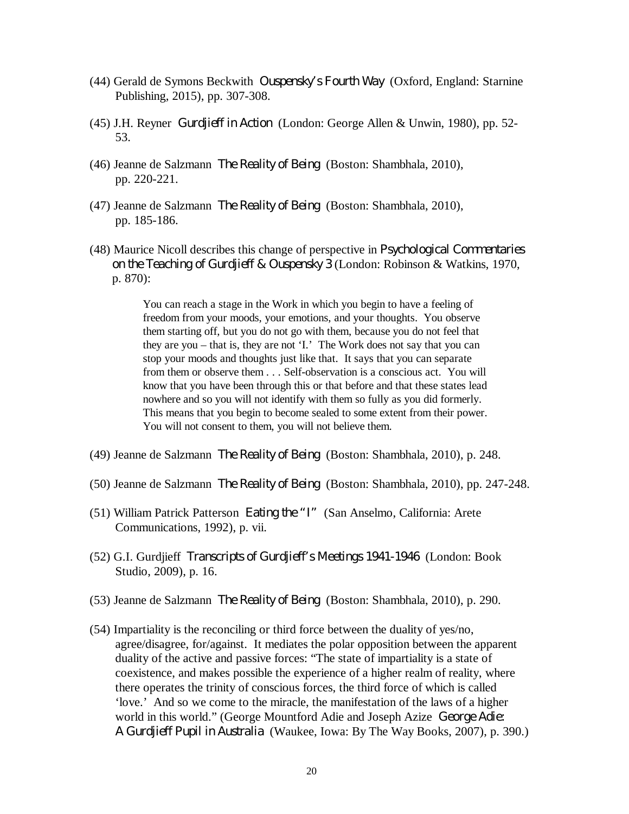- (44) Gerald de Symons Beckwith *Ouspensky's Fourth Way* (Oxford, England: Starnine Publishing, 2015), pp. 307-308.
- (45) J.H. Reyner *Gurdjieff in Action* (London: George Allen & Unwin, 1980), pp. 52- 53.
- (46) Jeanne de Salzmann *The Reality of Being* (Boston: Shambhala, 2010), pp. 220-221.
- (47) Jeanne de Salzmann *The Reality of Being* (Boston: Shambhala, 2010), pp. 185-186.
- (48) Maurice Nicoll describes this change of perspective in *Psychological Commentaries on the Teaching of Gurdjieff & Ouspensky 3* (London: Robinson & Watkins, 1970, p. 870):

You can reach a stage in the Work in which you begin to have a feeling of freedom from your moods, your emotions, and your thoughts. You observe them starting off, but you do not go with them, because you do not feel that they are you – that is, they are not 'I.' The Work does not say that you can stop your moods and thoughts just like that. It says that you can separate from them or observe them . . . Self-observation is a conscious act. You will know that you have been through this or that before and that these states lead nowhere and so you will not identify with them so fully as you did formerly. This means that you begin to become sealed to some extent from their power. You will not consent to them, you will not believe them.

- (49) Jeanne de Salzmann *The Reality of Being* (Boston: Shambhala, 2010), p. 248.
- (50) Jeanne de Salzmann *The Reality of Being* (Boston: Shambhala, 2010), pp. 247-248.
- (51) William Patrick Patterson *Eating the "I"* (San Anselmo, California: Arete Communications, 1992), p. vii.
- (52) G.I. Gurdjieff *Transcripts of Gurdjieff's Meetings 1941-1946* (London: Book Studio, 2009), p. 16.
- (53) Jeanne de Salzmann *The Reality of Being* (Boston: Shambhala, 2010), p. 290.
- (54) Impartiality is the reconciling or third force between the duality of yes/no, agree/disagree, for/against. It mediates the polar opposition between the apparent duality of the active and passive forces: "The state of impartiality is a state of coexistence, and makes possible the experience of a higher realm of reality, where there operates the trinity of conscious forces, the third force of which is called 'love.' And so we come to the miracle, the manifestation of the laws of a higher world in this world." (George Mountford Adie and Joseph Azize *George Adie: A Gurdjieff Pupil in Australia* (Waukee, Iowa: By The Way Books, 2007), p. 390.)